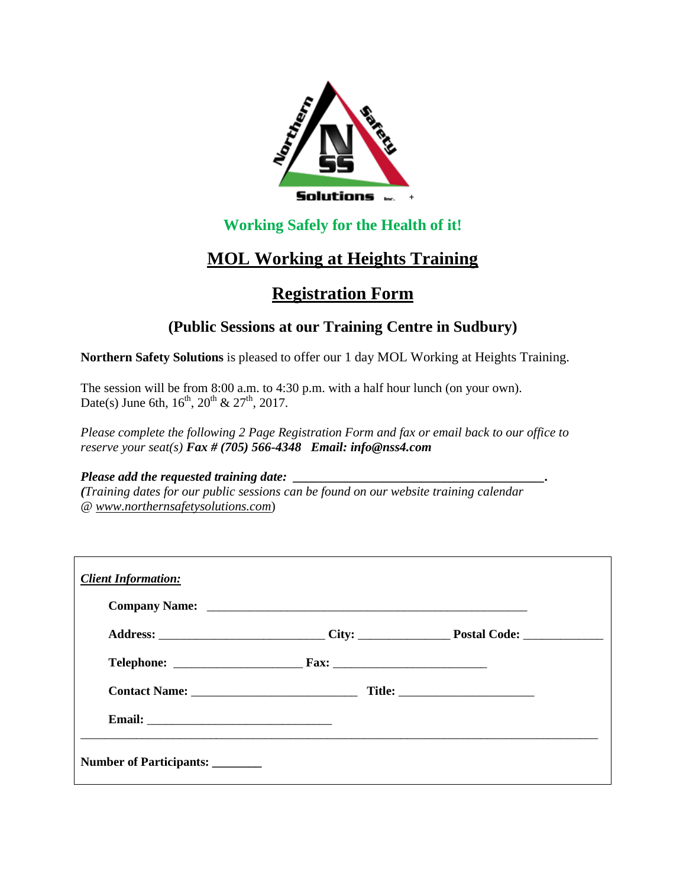

## **Working Safely for the Health of it!**

# **MOL Working at Heights Training**

# **Registration Form**

### **(Public Sessions at our Training Centre in Sudbury)**

**Northern Safety Solutions** is pleased to offer our 1 day MOL Working at Heights Training.

The session will be from 8:00 a.m. to 4:30 p.m. with a half hour lunch (on your own). Date(s) June 6th,  $16^{th}$ ,  $20^{th}$  &  $27^{th}$ ,  $2017$ .

*Please complete the following 2 Page Registration Form and fax or email back to our office to reserve your seat(s) Fax # (705) 566-4348 Email: info@nss4.com*

#### *Please add the requested training date:*

*(Training dates for our public sessions can be found on our website training calendar @ www.northernsafetysolutions.com*)